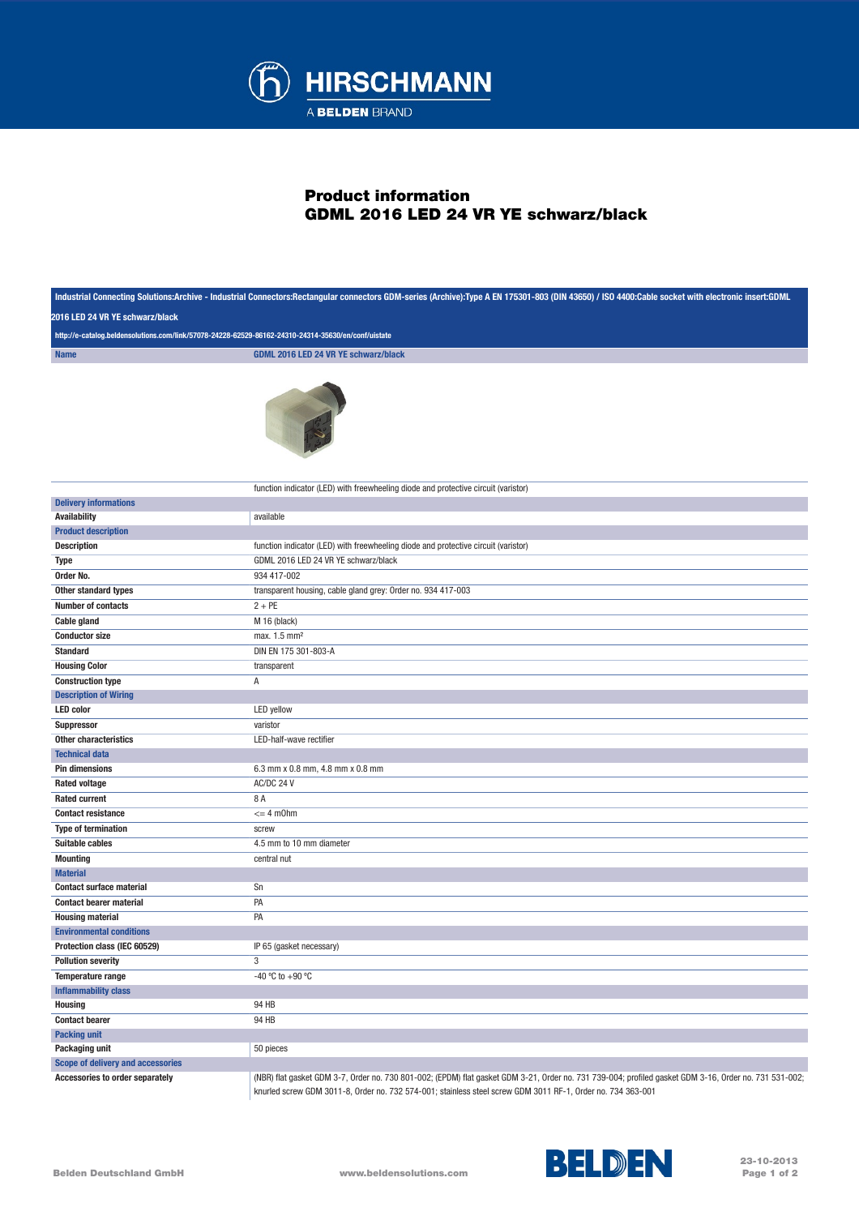

## Product information GDML 2016 LED 24 VR YE schwarz/black

| Industrial Connecting Solutions:Archive - Industrial Connectors:Rectangular connectors GDM-series (Archive):Type A EN 175301-803 (DIN 43650) / ISO 4400:Cable socket with electronic insert:GDML<br>2016 LED 24 VR YE schwarz/black<br>http://e-catalog.beldensolutions.com/link/57078-24228-62529-86162-24310-24314-35630/en/conf/uistate |                                                                                                                                                                                                                                                                       |
|--------------------------------------------------------------------------------------------------------------------------------------------------------------------------------------------------------------------------------------------------------------------------------------------------------------------------------------------|-----------------------------------------------------------------------------------------------------------------------------------------------------------------------------------------------------------------------------------------------------------------------|
|                                                                                                                                                                                                                                                                                                                                            |                                                                                                                                                                                                                                                                       |
| <b>Name</b>                                                                                                                                                                                                                                                                                                                                | <b>GDML 2016 LED 24 VR YE schwarz/black</b>                                                                                                                                                                                                                           |
|                                                                                                                                                                                                                                                                                                                                            |                                                                                                                                                                                                                                                                       |
|                                                                                                                                                                                                                                                                                                                                            | function indicator (LED) with freewheeling diode and protective circuit (varistor)                                                                                                                                                                                    |
| <b>Delivery informations</b>                                                                                                                                                                                                                                                                                                               |                                                                                                                                                                                                                                                                       |
| <b>Availability</b>                                                                                                                                                                                                                                                                                                                        | available                                                                                                                                                                                                                                                             |
| <b>Product description</b>                                                                                                                                                                                                                                                                                                                 |                                                                                                                                                                                                                                                                       |
| <b>Description</b>                                                                                                                                                                                                                                                                                                                         | function indicator (LED) with freewheeling diode and protective circuit (varistor)                                                                                                                                                                                    |
| Type                                                                                                                                                                                                                                                                                                                                       | GDML 2016 LED 24 VR YE schwarz/black                                                                                                                                                                                                                                  |
| Order No.                                                                                                                                                                                                                                                                                                                                  | 934 417-002                                                                                                                                                                                                                                                           |
| Other standard types                                                                                                                                                                                                                                                                                                                       | transparent housing, cable gland grey: Order no. 934 417-003                                                                                                                                                                                                          |
| <b>Number of contacts</b>                                                                                                                                                                                                                                                                                                                  | $2 + PE$                                                                                                                                                                                                                                                              |
| <b>Cable gland</b>                                                                                                                                                                                                                                                                                                                         | M 16 (black)                                                                                                                                                                                                                                                          |
| <b>Conductor size</b>                                                                                                                                                                                                                                                                                                                      | max. 1.5 mm <sup>2</sup>                                                                                                                                                                                                                                              |
| <b>Standard</b>                                                                                                                                                                                                                                                                                                                            | DIN EN 175 301-803-A                                                                                                                                                                                                                                                  |
| <b>Housing Color</b>                                                                                                                                                                                                                                                                                                                       | transparent                                                                                                                                                                                                                                                           |
| <b>Construction type</b>                                                                                                                                                                                                                                                                                                                   | Α                                                                                                                                                                                                                                                                     |
| <b>Description of Wiring</b>                                                                                                                                                                                                                                                                                                               |                                                                                                                                                                                                                                                                       |
| <b>LED</b> color                                                                                                                                                                                                                                                                                                                           | LED yellow                                                                                                                                                                                                                                                            |
| Suppressor                                                                                                                                                                                                                                                                                                                                 | varistor                                                                                                                                                                                                                                                              |
| Other characteristics                                                                                                                                                                                                                                                                                                                      | LED-half-wave rectifier                                                                                                                                                                                                                                               |
| <b>Technical data</b>                                                                                                                                                                                                                                                                                                                      |                                                                                                                                                                                                                                                                       |
| <b>Pin dimensions</b>                                                                                                                                                                                                                                                                                                                      | 6.3 mm x 0.8 mm, 4.8 mm x 0.8 mm                                                                                                                                                                                                                                      |
| <b>Rated voltage</b>                                                                                                                                                                                                                                                                                                                       | AC/DC 24 V                                                                                                                                                                                                                                                            |
| <b>Rated current</b>                                                                                                                                                                                                                                                                                                                       | 8 A                                                                                                                                                                                                                                                                   |
| <b>Contact resistance</b>                                                                                                                                                                                                                                                                                                                  | $= 4$ m0hm                                                                                                                                                                                                                                                            |
| <b>Type of termination</b>                                                                                                                                                                                                                                                                                                                 | screw                                                                                                                                                                                                                                                                 |
| <b>Suitable cables</b>                                                                                                                                                                                                                                                                                                                     | 4.5 mm to 10 mm diameter                                                                                                                                                                                                                                              |
| <b>Mounting</b>                                                                                                                                                                                                                                                                                                                            | central nut                                                                                                                                                                                                                                                           |
| <b>Material</b>                                                                                                                                                                                                                                                                                                                            |                                                                                                                                                                                                                                                                       |
| <b>Contact surface material</b>                                                                                                                                                                                                                                                                                                            | Sn                                                                                                                                                                                                                                                                    |
| <b>Contact bearer material</b>                                                                                                                                                                                                                                                                                                             | PA                                                                                                                                                                                                                                                                    |
| <b>Housing material</b>                                                                                                                                                                                                                                                                                                                    | PA                                                                                                                                                                                                                                                                    |
| <b>Environmental conditions</b>                                                                                                                                                                                                                                                                                                            |                                                                                                                                                                                                                                                                       |
| Protection class (IEC 60529)                                                                                                                                                                                                                                                                                                               | IP 65 (gasket necessary)                                                                                                                                                                                                                                              |
| <b>Pollution severity</b>                                                                                                                                                                                                                                                                                                                  | 3                                                                                                                                                                                                                                                                     |
| Temperature range                                                                                                                                                                                                                                                                                                                          | -40 °C to +90 °C                                                                                                                                                                                                                                                      |
| <b>Inflammability class</b>                                                                                                                                                                                                                                                                                                                |                                                                                                                                                                                                                                                                       |
| <b>Housing</b>                                                                                                                                                                                                                                                                                                                             | 94 HB                                                                                                                                                                                                                                                                 |
| <b>Contact bearer</b>                                                                                                                                                                                                                                                                                                                      | 94 HB                                                                                                                                                                                                                                                                 |
| <b>Packing unit</b>                                                                                                                                                                                                                                                                                                                        |                                                                                                                                                                                                                                                                       |
| Packaging unit                                                                                                                                                                                                                                                                                                                             | 50 pieces                                                                                                                                                                                                                                                             |
| <b>Scope of delivery and accessories</b>                                                                                                                                                                                                                                                                                                   |                                                                                                                                                                                                                                                                       |
| <b>Accessories to order separately</b>                                                                                                                                                                                                                                                                                                     | (NBR) flat gasket GDM 3-7, Order no. 730 801-002; (EPDM) flat gasket GDM 3-21, Order no. 731 739-004; profiled gasket GDM 3-16, Order no. 731 531-002;<br>knurled screw GDM 3011-8, Order no. 732 574-001; stainless steel screw GDM 3011 RF-1, Order no. 734 363-001 |